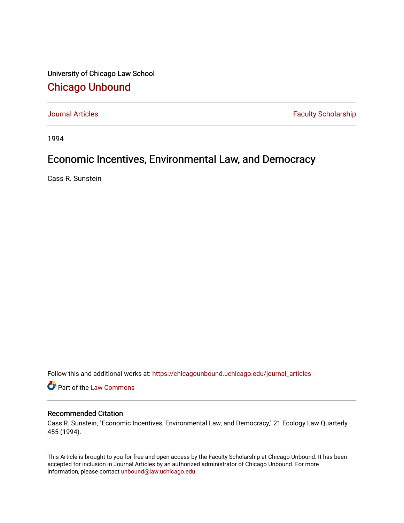University of Chicago Law School [Chicago Unbound](https://chicagounbound.uchicago.edu/)

[Journal Articles](https://chicagounbound.uchicago.edu/journal_articles) **Faculty Scholarship Faculty Scholarship** 

1994

## Economic Incentives, Environmental Law, and Democracy

Cass R. Sunstein

Follow this and additional works at: [https://chicagounbound.uchicago.edu/journal\\_articles](https://chicagounbound.uchicago.edu/journal_articles?utm_source=chicagounbound.uchicago.edu%2Fjournal_articles%2F8364&utm_medium=PDF&utm_campaign=PDFCoverPages) 

Part of the [Law Commons](http://network.bepress.com/hgg/discipline/578?utm_source=chicagounbound.uchicago.edu%2Fjournal_articles%2F8364&utm_medium=PDF&utm_campaign=PDFCoverPages)

## Recommended Citation

Cass R. Sunstein, "Economic Incentives, Environmental Law, and Democracy," 21 Ecology Law Quarterly 455 (1994).

This Article is brought to you for free and open access by the Faculty Scholarship at Chicago Unbound. It has been accepted for inclusion in Journal Articles by an authorized administrator of Chicago Unbound. For more information, please contact [unbound@law.uchicago.edu](mailto:unbound@law.uchicago.edu).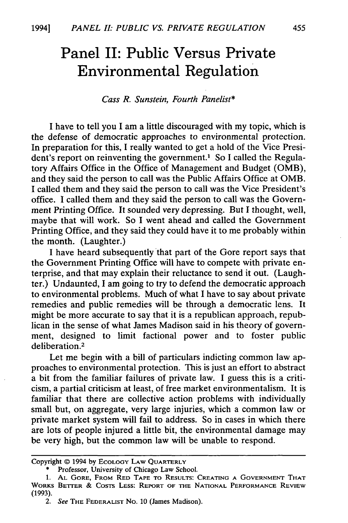## **Panel II: Public Versus Private Environmental Regulation**

## *Cass R. Sunstein, Fourth Panelist\**

I have to tell you I am a little discouraged with my topic, which is the defense of democratic approaches to environmental protection. In preparation for this, I really wanted to get a hold of the Vice President's report on reinventing the government.<sup>1</sup> So I called the Regulatory Affairs Office in the Office of Management and Budget (OMB), and they said the person to call was the Public Affairs Office at OMB. I called them and they said the person to call was the Vice President's office. I called them and they said the person to call was the Government Printing Office. It sounded very depressing. But I thought, well, maybe that will work. So I went ahead and called the Government Printing Office, and they said they could have it to me probably within the month. (Laughter.)

I have heard subsequently that part of the Gore report says that the Government Printing Office will have to compete with private enterprise, and that may explain their reluctance to send it out. (Laughter.) Undaunted, I am going to try to defend the democratic approach to environmental problems. Much of what I have to say about private remedies and public remedies will be through a democratic lens. It might be more accurate to say that it is a republican approach, republican in the sense of what James Madison said in his theory of government, designed to limit factional power and to foster public deliberation.<sup>2</sup>

Let me begin with a bill of particulars indicting common law approaches to environmental protection. This is just an effort to abstract a bit from the familiar failures of private law. I guess this is a criticism, a partial criticism at least, of free market environmentalism. It is familiar that there are collective action problems with individually small but, on aggregate, very large injuries, which a common law or private market system will fail to address. So in cases in which there are lots of people injured a little bit, the environmental damage may be very high, but the common law will be unable to respond.

Copyright © 1994 by ECOLOGY LAW QUARTERLY

<sup>\*</sup> Professor, University of Chicago Law School.

**<sup>1.</sup> AL** GORE, FROM RED **TAPE** TO RESULTS: **CREATING A GOVERNMENT** THAT WORKS BETTER **&** COSTS LESS: REPORT OF THE **NATIONAL** PERFORMANCE REVIEW (1993).

<sup>2.</sup> See THE FEDERALIST No. **10** (James Madison).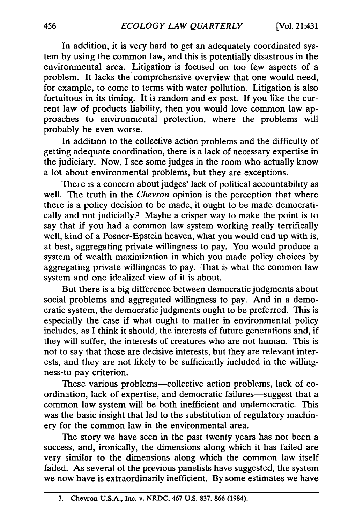In addition, it is very hard to get an adequately coordinated system by using the common law, and this is potentially disastrous in the environmental area. Litigation is focused on too few aspects of a problem. It lacks the comprehensive overview that one would need, for example, to come to terms with water pollution. Litigation is also fortuitous in its timing. It is random and ex post. If you like the current law of products liability, then you would love common law approaches to environmental protection, where the problems will probably be even worse.

In addition to the collective action problems and the difficulty of getting adequate coordination, there is a lack of necessary expertise in the judiciary. Now, I see some judges in the room who actually know a lot about environmental problems, but they are exceptions.

There is a concern about judges' lack of political accountability as well. The truth in the *Chevron* opinion is the perception that where there is a policy decision to be made, it ought to be made democratically and not judicially.3 Maybe a crisper way to make the point is to say that if you had a common law system working really terrifically well, kind of a Posner-Epstein heaven, what you would end up with is, at best, aggregating private willingness to pay. You would produce a system of wealth maximization in which you made policy choices by aggregating private willingness to pay. That is what the common law system and one idealized view of it is about.

But there is a big difference between democratic judgments about social problems and aggregated willingness to pay. And in a democratic system, the democratic judgments ought to be preferred. This is especially the case if what ought to matter in environmental policy includes, as I think it should, the interests of future generations and, if they will suffer, the interests of creatures who are not human. This is not to say that those are decisive interests, but they are relevant interests, and they are not likely to be sufficiently included in the willingness-to-pay criterion.

These various problems-collective action problems, lack of coordination, lack of expertise, and democratic failures-suggest that a common law system will be both inefficient and undemocratic. This was the basic insight that led to the substitution of regulatory machinery for the common law in the environmental area.

The story we have seen in the past twenty years has not been a success, and, ironically, the dimensions along which it has failed are very similar to the dimensions along which the common law itself failed. As several of the previous panelists have suggested, the system we now have is extraordinarily inefficient. By some estimates we have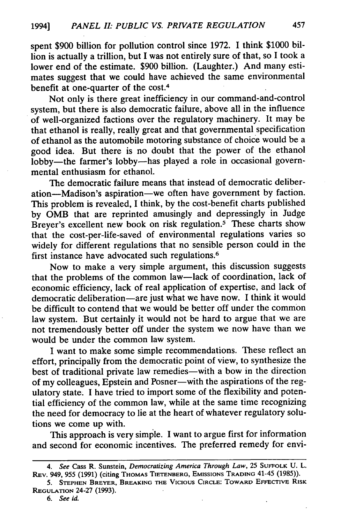spent \$900 billion for pollution control since 1972. I think \$1000 billion is actually a trillion, but I was not entirely sure of that, so I took a lower end of the estimate. \$900 billion. (Laughter.) And many estimates suggest that we could have achieved the same environmental benefit at one-quarter of the cost.<sup>4</sup>

Not only is there great inefficiency in our command-and-control system, but there is also democratic failure, above all in the influence of well-organized factions over the regulatory machinery. It may be that ethanol is really, really great and that governmental specification of ethanol as the automobile motoring substance of choice would be a good idea. But there is no doubt that the power of the ethanol lobby-the farmer's lobby-has played a role in occasional governmental enthusiasm for ethanol.

The democratic failure means that instead of democratic deliberation-Madison's aspiration-we often have government by faction. This problem is revealed, I think, by the cost-benefit charts published by OMB that are reprinted amusingly and depressingly in Judge Breyer's excellent new book on risk regulation.<sup>5</sup> These charts show that the cost-per-life-saved of environmental regulations varies so widely for different regulations that no sensible person could in the first instance have advocated such regulations.<sup>6</sup>

Now to make a very simple argument, this discussion suggests that the problems of the common law-lack of coordination, lack of economic efficiency, lack of real application of expertise, and lack of democratic deliberation-are just what we have now. I think it would be difficult to contend that we would be better off under the common law system. But certainly it would not be hard to argue that we are not tremendously better off under the system we now have than we would be under the common law system.

I want to make some simple recommendations. These reflect an effort, principally from the democratic point of view, to synthesize the best of traditional private law remedies-with a bow in the direction of my colleagues, Epstein and Posner-with the aspirations of the regulatory state. I have tried to import some of the flexibility and potential efficiency of the common law, while at the same time recognizing the need for democracy to lie at the heart of whatever regulatory solutions we come up with.

This approach is very simple. I want to argue first for information and second for economic incentives. The preferred remedy for envi-

*<sup>4.</sup> See* Cass R. Sunstein, *Democratizing America Through Law,* 25 **SUFFOLK** U. L. **REV.** 949, 955 (1991) (citing THOMAS TIETENBERG, EMISSIONS **TRADING** 41-45 (1985)).

<sup>5.</sup> **STEPHEN BREYER,** BREAKING **THE VICIOUS** CIRCLE: TOWARD EFFECTIVE RISK REGULATION 24-27 (1993).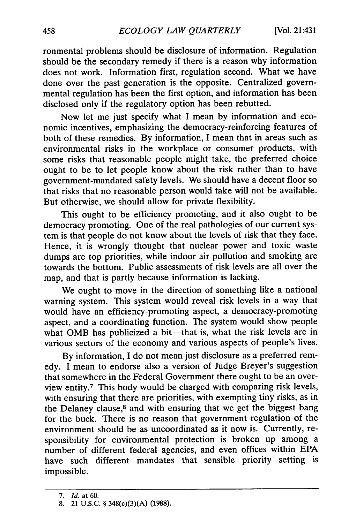ronmental problems should be disclosure of information. Regulation should be the secondary remedy if there is a reason why information does not work. Information first, regulation second. What we have done over the past generation is the opposite. Centralized governmental regulation has been the first option, and information has been disclosed only if the regulatory option has been rebutted.

Now let me just specify what I mean by information and economic incentives, emphasizing the democracy-reinforcing features of both of these remedies. By information, I mean that in areas such as environmental risks in the workplace or consumer products, with some risks that reasonable people might take, the preferred choice ought to be to let people know about the risk rather than to have government-mandated safety levels. We should have a decent floor so that risks that no reasonable person would take will not be available. But otherwise, we should allow for private flexibility.

This ought to be efficiency promoting, and it also ought to be democracy promoting. One of the real pathologies of our current system is that people do not know about the levels of risk that they face. Hence, it is wrongly thought that nuclear power and toxic waste dumps are top priorities, while indoor air pollution and smoking are towards the bottom. Public assessments of risk levels are all over the map, and that is partly because information is lacking.

We ought to move in the direction of something like a national warning system. This system would reveal risk levels in a way that would have an efficiency-promoting aspect, a democracy-promoting aspect, and a coordinating function. The system would show people what OMB has publicized a bit-that is, what the risk levels are in various sectors of the economy and various aspects of people's lives.

By information, I do not mean just disclosure as a preferred remedy. I mean to endorse also a version of Judge Breyer's suggestion that somewhere in the Federal Government there ought to be an overview entity.7 This body would be charged with comparing risk levels, with ensuring that there are priorities, with exempting tiny risks, as in the Delaney clause,<sup>8</sup> and with ensuring that we get the biggest bang for the buck. There is no reason that government regulation of the environment should be as uncoordinated as it now is. Currently, responsibility for environmental protection is broken up among a number of different federal agencies, and even offices within EPA have such different mandates that sensible priority setting is impossible.

*<sup>7.</sup> Id.* at 60.

<sup>8. 21</sup> U.S.C. § 348(c)(3)(A) (1988).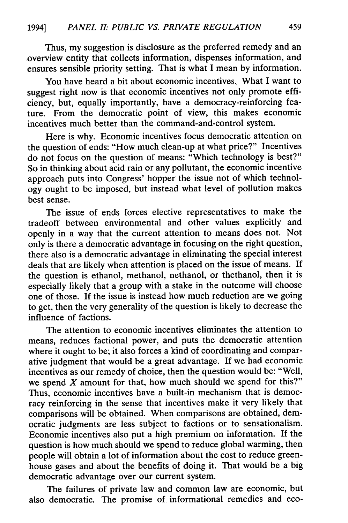Thus, my suggestion is disclosure as the preferred remedy and an overview entity that collects information, dispenses information, and ensures sensible priority setting. That is what I mean by information.

You have heard a bit about economic incentives. What I want to suggest right now is that economic incentives not only promote efficiency, but, equally importantly, have a democracy-reinforcing feature. From the democratic point of view, this makes economic incentives much better than the command-and-control system.

Here is why. Economic incentives focus democratic attention on the question of ends: "How much clean-up at what price?" Incentives do not focus on the question of means: "Which technology is best?" So in thinking about acid rain or any pollutant, the economic incentive approach puts into Congress' hopper the issue not of which technology ought to be imposed, but instead what level of pollution makes best sense.

The issue of ends forces elective representatives to make the tradeoff between environmental and other values explicitly and openly in a way that the current attention to means does not. Not only is there a democratic advantage in focusing on the right question, there also is a democratic advantage in eliminating the special interest deals that are likely when attention is placed on the issue of means. If the question is ethanol, methanol, nethanol, or thethanol, then it is especially likely that a group with a stake in the outcome will choose one of those. If the issue is instead how much reduction are we going to get, then the very generality of the question is likely to decrease the influence of factions.

The attention to economic incentives eliminates the attention to means, reduces factional power, and puts the democratic attention where it ought to be; it also forces a kind of coordinating and comparative judgment that would be a great advantage. If we had economic incentives as our remedy of choice, then the question would be: "Well, we spend  $X$  amount for that, how much should we spend for this?" Thus, economic incentives have a built-in mechanism that is democracy reinforcing in the sense that incentives make it very likely that comparisons will be obtained. When comparisons are obtained, democratic judgments are less subject to factions or to sensationalism. Economic incentives also put a high premium on information. If the question is how much should we spend to reduce global warming, then people will obtain a lot of information about the cost to reduce greenhouse gases and about the benefits of doing it. That would be a big democratic advantage over our current system.

The failures of private law and common law are economic, but also democratic. The promise of informational remedies and eco